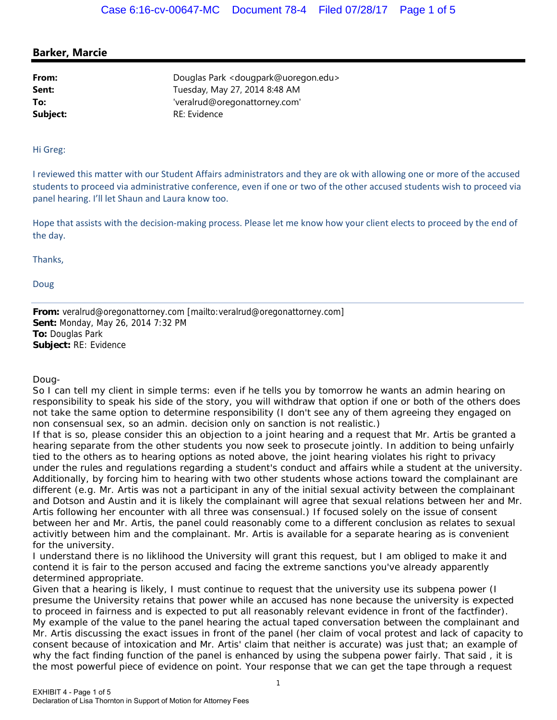## **Barker, Marcie**

**From:** Douglas Park <dougpark@uoregon.edu> **Sent:** Tuesday, May 27, 2014 8:48 AM **To:** 'veralrud@oregonattorney.com' Subject: RE: Evidence

## Hi Greg:

I reviewed this matter with our Student Affairs administrators and they are ok with allowing one or more of the accused students to proceed via administrative conference, even if one or two of the other accused students wish to proceed via panel hearing. I'll let Shaun and Laura know too.

Hope that assists with the decision-making process. Please let me know how your client elects to proceed by the end of the day.

Thanks,

Doug

**From:** veralrud@oregonattorney.com [mailto:veralrud@oregonattorney.com] **Sent:** Monday, May 26, 2014 7:32 PM **To:** Douglas Park **Subject:** RE: Evidence

Doug-

So I can tell my client in simple terms: even if he tells you by tomorrow he wants an admin hearing on responsibility to speak his side of the story, you will withdraw that option if one or both of the others does not take the same option to determine responsibility (I don't see any of them agreeing they engaged on non consensual sex, so an admin. decision only on sanction is not realistic.)

If that is so, please consider this an objection to a joint hearing and a request that Mr. Artis be granted a hearing separate from the other students you now seek to prosecute jointly. In addition to being unfairly tied to the others as to hearing options as noted above, the joint hearing violates his right to privacy under the rules and regulations regarding a student's conduct and affairs while a student at the university. Additionally, by forcing him to hearing with two other students whose actions toward the complainant are different (e.g. Mr. Artis was not a participant in any of the initial sexual activity between the complainant and Dotson and Austin and it is likely the complainant will agree that sexual relations between her and Mr. Artis following her encounter with all three was consensual.) If focused solely on the issue of consent between her and Mr. Artis, the panel could reasonably come to a different conclusion as relates to sexual activitly between him and the complainant. Mr. Artis is available for a separate hearing as is convenient for the university.

I understand there is no liklihood the University will grant this request, but I am obliged to make it and contend it is fair to the person accused and facing the extreme sanctions you've already apparently determined appropriate.

Given that a hearing is likely, I must continue to request that the university use its subpena power (I presume the University retains that power while an accused has none because the university is expected to proceed in fairness and is expected to put all reasonably relevant evidence in front of the factfinder). My example of the value to the panel hearing the actual taped conversation between the complainant and Mr. Artis discussing the exact issues in front of the panel (her claim of vocal protest and lack of capacity to consent because of intoxication and Mr. Artis' claim that neither is accurate) was just that; an example of why the fact finding function of the panel is enhanced by using the subpena power fairly. That said , it is the most powerful piece of evidence on point. Your response that we can get the tape through a request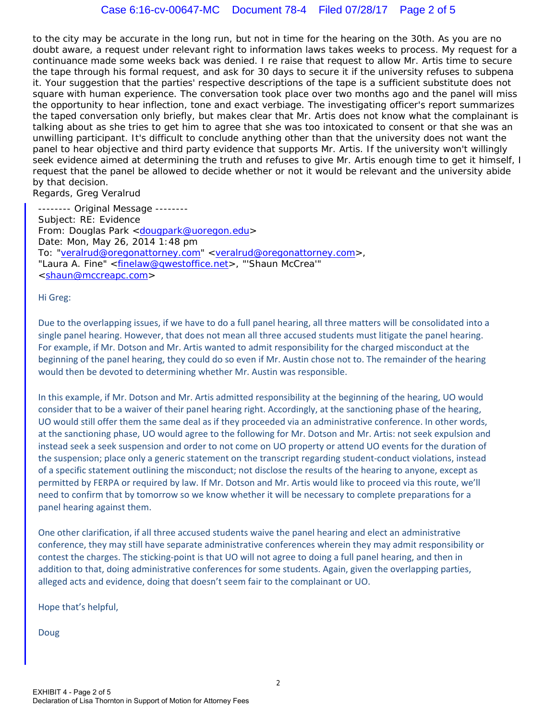to the city may be accurate in the long run, but not in time for the hearing on the 30th. As you are no doubt aware, a request under relevant right to information laws takes weeks to process. My request for a continuance made some weeks back was denied. I re raise that request to allow Mr. Artis time to secure the tape through his formal request, and ask for 30 days to secure it if the university refuses to subpena it. Your suggestion that the parties' respective descriptions of the tape is a sufficient substitute does not square with human experience. The conversation took place over two months ago and the panel will miss the opportunity to hear inflection, tone and exact verbiage. The investigating officer's report summarizes the taped conversation only briefly, but makes clear that Mr. Artis does not know what the complainant is talking about as she tries to get him to agree that she was too intoxicated to consent or that she was an unwilling participant. It's difficult to conclude anything other than that the university does not want the panel to hear objective and third party evidence that supports Mr. Artis. If the university won't willingly seek evidence aimed at determining the truth and refuses to give Mr. Artis enough time to get it himself, I request that the panel be allowed to decide whether or not it would be relevant and the university abide by that decision.

Regards, Greg Veralrud

-------- Original Message -------- Subject: RE: Evidence From: Douglas Park <dougpark@uoregon.edu> Date: Mon, May 26, 2014 1:48 pm To: "veralrud@oregonattorney.com" <veralrud@oregonattorney.com>, "Laura A. Fine" <finelaw@qwestoffice.net>, "'Shaun McCrea'" <shaun@mccreapc.com>

Hi Greg:

Due to the overlapping issues, if we have to do a full panel hearing, all three matters will be consolidated into a single panel hearing. However, that does not mean all three accused students must litigate the panel hearing. For example, if Mr. Dotson and Mr. Artis wanted to admit responsibility for the charged misconduct at the beginning of the panel hearing, they could do so even if Mr. Austin chose not to. The remainder of the hearing would then be devoted to determining whether Mr. Austin was responsible.

In this example, if Mr. Dotson and Mr. Artis admitted responsibility at the beginning of the hearing, UO would consider that to be a waiver of their panel hearing right. Accordingly, at the sanctioning phase of the hearing, UO would still offer them the same deal as if they proceeded via an administrative conference. In other words, at the sanctioning phase, UO would agree to the following for Mr. Dotson and Mr. Artis: not seek expulsion and instead seek a seek suspension and order to not come on UO property or attend UO events for the duration of the suspension; place only a generic statement on the transcript regarding student‐conduct violations, instead of a specific statement outlining the misconduct; not disclose the results of the hearing to anyone, except as permitted by FERPA or required by law. If Mr. Dotson and Mr. Artis would like to proceed via this route, we'll need to confirm that by tomorrow so we know whether it will be necessary to complete preparations for a panel hearing against them.

One other clarification, if all three accused students waive the panel hearing and elect an administrative conference, they may still have separate administrative conferences wherein they may admit responsibility or contest the charges. The sticking-point is that UO will not agree to doing a full panel hearing, and then in addition to that, doing administrative conferences for some students. Again, given the overlapping parties, alleged acts and evidence, doing that doesn't seem fair to the complainant or UO.

Hope that's helpful,

Doug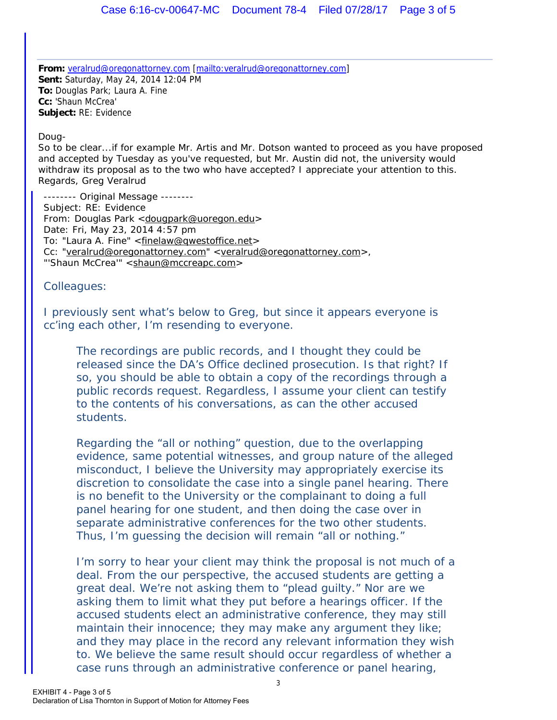**From:** veralrud@oregonattorney.com [mailto:veralrud@oregonattorney.com] **Sent:** Saturday, May 24, 2014 12:04 PM **To:** Douglas Park; Laura A. Fine **Cc:** 'Shaun McCrea' **Subject:** RE: Evidence

Doug-

So to be clear...if for example Mr. Artis and Mr. Dotson wanted to proceed as you have proposed and accepted by Tuesday as you've requested, but Mr. Austin did not, the university would withdraw its proposal as to the two who have accepted? I appreciate your attention to this. Regards, Greg Veralrud

-------- Original Message -------- Subject: RE: Evidence From: Douglas Park <dougpark@uoregon.edu> Date: Fri, May 23, 2014 4:57 pm To: "Laura A. Fine" <finelaw@qwestoffice.net> Cc: "veralrud@oregonattorney.com" <veralrud@oregonattorney.com>, "'Shaun McCrea'" <shaun@mccreapc.com>

Colleagues:

I previously sent what's below to Greg, but since it appears everyone is cc'ing each other, I'm resending to everyone.

The recordings are public records, and I thought they could be released since the DA's Office declined prosecution. Is that right? If so, you should be able to obtain a copy of the recordings through a public records request. Regardless, I assume your client can testify to the contents of his conversations, as can the other accused students.

Regarding the "all or nothing" question, due to the overlapping evidence, same potential witnesses, and group nature of the alleged misconduct, I believe the University may appropriately exercise its discretion to consolidate the case into a single panel hearing. There is no benefit to the University or the complainant to doing a full panel hearing for one student, and then doing the case over in separate administrative conferences for the two other students. Thus, I'm guessing the decision will remain "all or nothing."

I'm sorry to hear your client may think the proposal is not much of a deal. From the our perspective, the accused students are getting a great deal. We're not asking them to "plead guilty." Nor are we asking them to limit what they put before a hearings officer. If the accused students elect an administrative conference, they may still maintain their innocence; they may make any argument they like; and they may place in the record any relevant information they wish to. We believe the same result should occur regardless of whether a case runs through an administrative conference or panel hearing,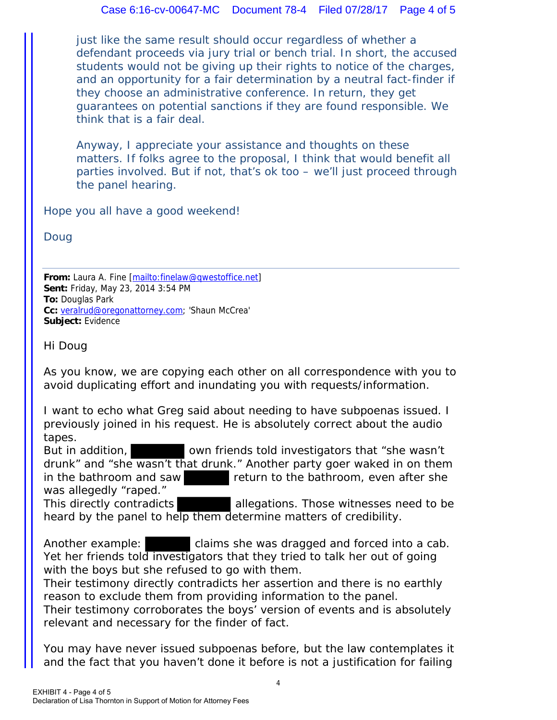just like the same result should occur regardless of whether a defendant proceeds via jury trial or bench trial. In short, the accused students would not be giving up their rights to notice of the charges, and an opportunity for a fair determination by a neutral fact-finder if they choose an administrative conference. In return, they get guarantees on potential sanctions if they are found responsible. We think that is a fair deal.

Anyway, I appreciate your assistance and thoughts on these matters. If folks agree to the proposal, I think that would benefit all parties involved. But if not, that's ok too – we'll just proceed through the panel hearing.

Hope you all have a good weekend!

Doug

**From:** Laura A. Fine [mailto:finelaw@qwestoffice.net] **Sent:** Friday, May 23, 2014 3:54 PM **To:** Douglas Park **Cc:** veralrud@oregonattorney.com; 'Shaun McCrea' **Subject:** Evidence

Hi Doug

As you know, we are copying each other on all correspondence with you to avoid duplicating effort and inundating you with requests/information.

I want to echo what Greg said about needing to have subpoenas issued. I previously joined in his request. He is absolutely correct about the audio tapes.

But in addition, sown friends told investigators that "she wasn't drunk" and "she wasn't that drunk." Another party goer waked in on them in the bathroom and saw return to the bathroom, even after she was allegedly "raped."

This directly contradicts allegations. Those witnesses need to be heard by the panel to help them determine matters of credibility.

Another example: claims she was dragged and forced into a cab. Yet her friends told investigators that they tried to talk her out of going with the boys but she refused to go with them.

Their testimony directly contradicts her assertion and there is no earthly reason to exclude them from providing information to the panel.

Their testimony corroborates the boys' version of events and is absolutely relevant and necessary for the finder of fact.

You may have never issued subpoenas before, but the law contemplates it and the fact that you haven't done it before is not a justification for failing